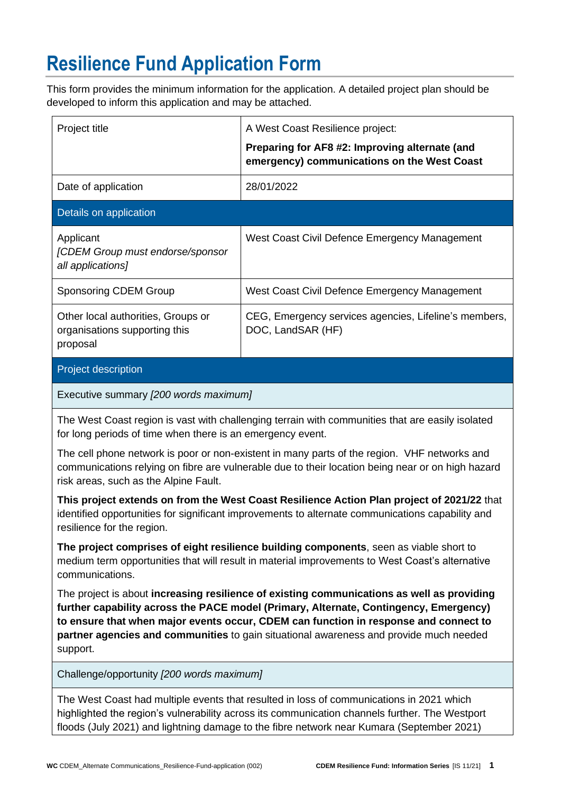## **Resilience Fund Application Form**

This form provides the minimum information for the application. A detailed project plan should be developed to inform this application and may be attached.

| Project title                                                                                                                                                                                                                              | A West Coast Resilience project:                                                              |  |  |  |  |  |
|--------------------------------------------------------------------------------------------------------------------------------------------------------------------------------------------------------------------------------------------|-----------------------------------------------------------------------------------------------|--|--|--|--|--|
|                                                                                                                                                                                                                                            | Preparing for AF8 #2: Improving alternate (and<br>emergency) communications on the West Coast |  |  |  |  |  |
| Date of application                                                                                                                                                                                                                        | 28/01/2022                                                                                    |  |  |  |  |  |
| Details on application                                                                                                                                                                                                                     |                                                                                               |  |  |  |  |  |
| Applicant<br>[CDEM Group must endorse/sponsor<br>all applications]                                                                                                                                                                         | West Coast Civil Defence Emergency Management                                                 |  |  |  |  |  |
| <b>Sponsoring CDEM Group</b>                                                                                                                                                                                                               | West Coast Civil Defence Emergency Management                                                 |  |  |  |  |  |
| Other local authorities, Groups or<br>organisations supporting this<br>proposal                                                                                                                                                            | CEG, Emergency services agencies, Lifeline's members,<br>DOC, LandSAR (HF)                    |  |  |  |  |  |
| Project description                                                                                                                                                                                                                        |                                                                                               |  |  |  |  |  |
| Executive summary [200 words maximum]                                                                                                                                                                                                      |                                                                                               |  |  |  |  |  |
| The West Coast region is vast with challenging terrain with communities that are easily isolated<br>for long periods of time when there is an emergency event.                                                                             |                                                                                               |  |  |  |  |  |
| The cell phone network is poor or non-existent in many parts of the region. VHF networks and<br>communications relying on fibre are vulnerable due to their location being near or on high hazard<br>risk areas, such as the Alpine Fault. |                                                                                               |  |  |  |  |  |
| This project extends on from the West Coast Resilience Action Plan project of 2021/22 that<br>identified opportunities for significant improvements to alternate communications capability and<br>resilience for the region.               |                                                                                               |  |  |  |  |  |

**The project comprises of eight resilience building components**, seen as viable short to medium term opportunities that will result in material improvements to West Coast's alternative communications.

The project is about **increasing resilience of existing communications as well as providing further capability across the PACE model (Primary, Alternate, Contingency, Emergency) to ensure that when major events occur, CDEM can function in response and connect to partner agencies and communities** to gain situational awareness and provide much needed support.

Challenge/opportunity *[200 words maximum]*

The West Coast had multiple events that resulted in loss of communications in 2021 which highlighted the region's vulnerability across its communication channels further. The Westport floods (July 2021) and lightning damage to the fibre network near Kumara (September 2021)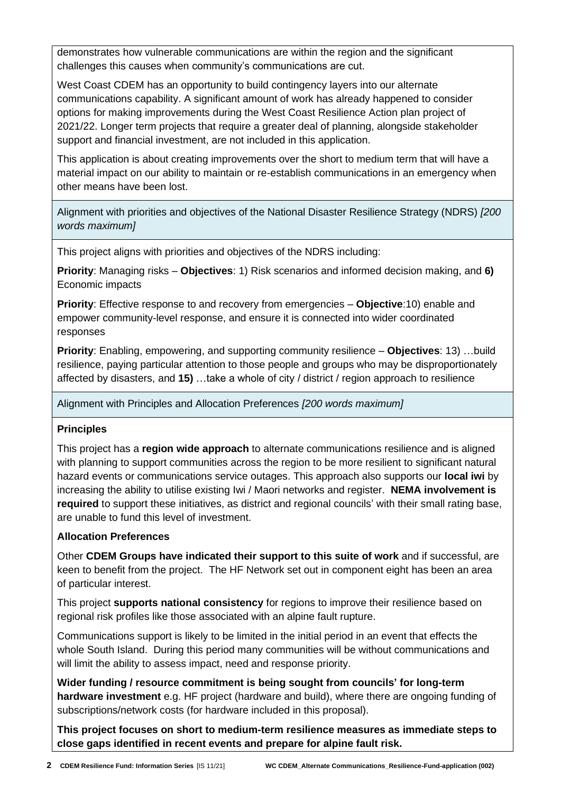demonstrates how vulnerable communications are within the region and the significant challenges this causes when community's communications are cut.

West Coast CDEM has an opportunity to build contingency layers into our alternate communications capability. A significant amount of work has already happened to consider options for making improvements during the West Coast Resilience Action plan project of 2021/22. Longer term projects that require a greater deal of planning, alongside stakeholder support and financial investment, are not included in this application.

This application is about creating improvements over the short to medium term that will have a material impact on our ability to maintain or re-establish communications in an emergency when other means have been lost.

Alignment with priorities and objectives of the National Disaster Resilience Strategy (NDRS) *[200 words maximum]*

This project aligns with priorities and objectives of the NDRS including:

**Priority**: Managing risks – **Objectives**: 1) Risk scenarios and informed decision making, and **6)** Economic impacts

**Priority**: Effective response to and recovery from emergencies – **Objective**:10) enable and empower community-level response, and ensure it is connected into wider coordinated responses

**Priority**: Enabling, empowering, and supporting community resilience – **Objectives**: 13) …build resilience, paying particular attention to those people and groups who may be disproportionately affected by disasters, and **15)** …take a whole of city / district / region approach to resilience

Alignment with Principles and Allocation Preferences *[200 words maximum]*

## **Principles**

This project has a **region wide approach** to alternate communications resilience and is aligned with planning to support communities across the region to be more resilient to significant natural hazard events or communications service outages. This approach also supports our **local iwi** by increasing the ability to utilise existing Iwi / Maori networks and register. **NEMA involvement is required** to support these initiatives, as district and regional councils' with their small rating base, are unable to fund this level of investment.

## **Allocation Preferences**

Other **CDEM Groups have indicated their support to this suite of work** and if successful, are keen to benefit from the project. The HF Network set out in component eight has been an area of particular interest.

This project **supports national consistency** for regions to improve their resilience based on regional risk profiles like those associated with an alpine fault rupture.

Communications support is likely to be limited in the initial period in an event that effects the whole South Island. During this period many communities will be without communications and will limit the ability to assess impact, need and response priority.

**Wider funding / resource commitment is being sought from councils' for long-term hardware investment** e.g. HF project (hardware and build), where there are ongoing funding of subscriptions/network costs (for hardware included in this proposal).

**This project focuses on short to medium-term resilience measures as immediate steps to close gaps identified in recent events and prepare for alpine fault risk.**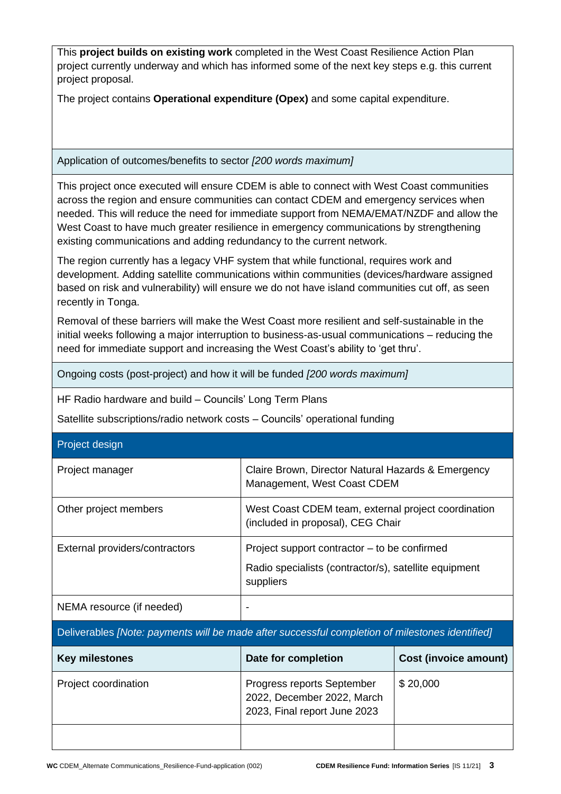| This <b>project builds on existing work</b> completed in the West Coast Resilience Action Plan<br>project currently underway and which has informed some of the next key steps e.g. this current<br>project proposal.                                                                                                                                                                                                                                |                                                                                          |                                                       |  |  |  |  |
|------------------------------------------------------------------------------------------------------------------------------------------------------------------------------------------------------------------------------------------------------------------------------------------------------------------------------------------------------------------------------------------------------------------------------------------------------|------------------------------------------------------------------------------------------|-------------------------------------------------------|--|--|--|--|
| The project contains Operational expenditure (Opex) and some capital expenditure.                                                                                                                                                                                                                                                                                                                                                                    |                                                                                          |                                                       |  |  |  |  |
| Application of outcomes/benefits to sector [200 words maximum]                                                                                                                                                                                                                                                                                                                                                                                       |                                                                                          |                                                       |  |  |  |  |
| This project once executed will ensure CDEM is able to connect with West Coast communities<br>across the region and ensure communities can contact CDEM and emergency services when<br>needed. This will reduce the need for immediate support from NEMA/EMAT/NZDF and allow the<br>West Coast to have much greater resilience in emergency communications by strengthening<br>existing communications and adding redundancy to the current network. |                                                                                          |                                                       |  |  |  |  |
| The region currently has a legacy VHF system that while functional, requires work and<br>development. Adding satellite communications within communities (devices/hardware assigned<br>based on risk and vulnerability) will ensure we do not have island communities cut off, as seen<br>recently in Tonga.                                                                                                                                         |                                                                                          |                                                       |  |  |  |  |
| Removal of these barriers will make the West Coast more resilient and self-sustainable in the<br>initial weeks following a major interruption to business-as-usual communications - reducing the<br>need for immediate support and increasing the West Coast's ability to 'get thru'.                                                                                                                                                                |                                                                                          |                                                       |  |  |  |  |
| Ongoing costs (post-project) and how it will be funded [200 words maximum]                                                                                                                                                                                                                                                                                                                                                                           |                                                                                          |                                                       |  |  |  |  |
| HF Radio hardware and build - Councils' Long Term Plans                                                                                                                                                                                                                                                                                                                                                                                              |                                                                                          |                                                       |  |  |  |  |
|                                                                                                                                                                                                                                                                                                                                                                                                                                                      | Satellite subscriptions/radio network costs - Councils' operational funding              |                                                       |  |  |  |  |
| Project design                                                                                                                                                                                                                                                                                                                                                                                                                                       |                                                                                          |                                                       |  |  |  |  |
| Project manager                                                                                                                                                                                                                                                                                                                                                                                                                                      | Claire Brown, Director Natural Hazards & Emergency<br>Management, West Coast CDEM        |                                                       |  |  |  |  |
| Other project members                                                                                                                                                                                                                                                                                                                                                                                                                                | West Coast CDEM team, external project coordination<br>(included in proposal), CEG Chair |                                                       |  |  |  |  |
| External providers/contractors                                                                                                                                                                                                                                                                                                                                                                                                                       | Project support contractor – to be confirmed                                             |                                                       |  |  |  |  |
|                                                                                                                                                                                                                                                                                                                                                                                                                                                      | suppliers                                                                                | Radio specialists (contractor/s), satellite equipment |  |  |  |  |
| NEMA resource (if needed)                                                                                                                                                                                                                                                                                                                                                                                                                            |                                                                                          |                                                       |  |  |  |  |
| Deliverables [Note: payments will be made after successful completion of milestones identified]                                                                                                                                                                                                                                                                                                                                                      |                                                                                          |                                                       |  |  |  |  |
| <b>Key milestones</b>                                                                                                                                                                                                                                                                                                                                                                                                                                | Date for completion                                                                      | <b>Cost (invoice amount)</b>                          |  |  |  |  |
| Project coordination                                                                                                                                                                                                                                                                                                                                                                                                                                 | Progress reports September<br>2022, December 2022, March<br>2023, Final report June 2023 | \$20,000                                              |  |  |  |  |
|                                                                                                                                                                                                                                                                                                                                                                                                                                                      |                                                                                          |                                                       |  |  |  |  |
|                                                                                                                                                                                                                                                                                                                                                                                                                                                      |                                                                                          |                                                       |  |  |  |  |

٦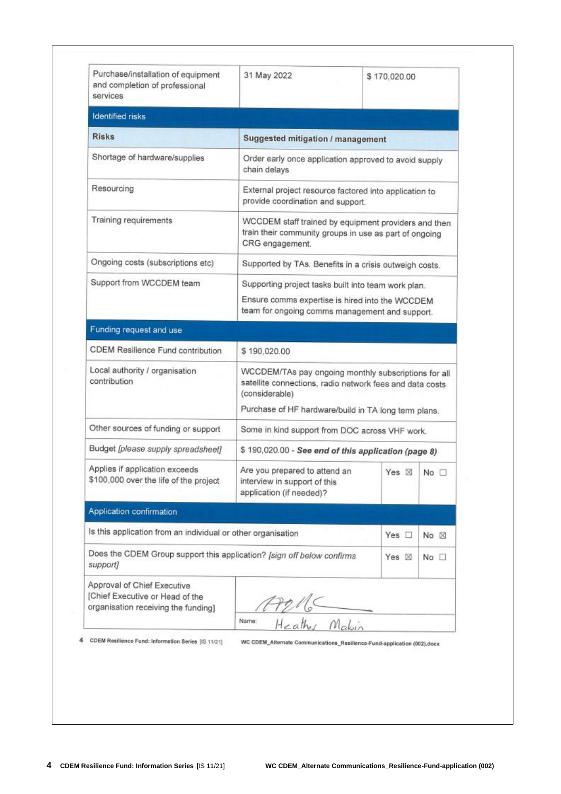| Purchase/installation of equipment<br>and completion of professional<br>services                      | 31 May 2022                                                                                                                                                                                | \$170,020.00                                           |                |  |  |  |
|-------------------------------------------------------------------------------------------------------|--------------------------------------------------------------------------------------------------------------------------------------------------------------------------------------------|--------------------------------------------------------|----------------|--|--|--|
| <b>Identified risks</b>                                                                               |                                                                                                                                                                                            |                                                        |                |  |  |  |
| <b>Risks</b>                                                                                          | Suggested mitigation / management                                                                                                                                                          |                                                        |                |  |  |  |
| Shortage of hardware/supplies                                                                         | Order early once application approved to avoid supply<br>chain delays                                                                                                                      |                                                        |                |  |  |  |
| Resourcing                                                                                            | External project resource factored into application to<br>provide coordination and support.                                                                                                |                                                        |                |  |  |  |
| Training requirements                                                                                 | WCCDEM staff trained by equipment providers and then<br>train their community groups in use as part of ongoing<br>CRG engagement.                                                          |                                                        |                |  |  |  |
| Ongoing costs (subscriptions etc)                                                                     |                                                                                                                                                                                            | Supported by TAs. Benefits in a crisis outweigh costs. |                |  |  |  |
| Support from WCCDEM team                                                                              | Supporting project tasks built into team work plan.                                                                                                                                        |                                                        |                |  |  |  |
|                                                                                                       | Ensure comms expertise is hired into the WCCDEM<br>team for ongoing comms management and support.                                                                                          |                                                        |                |  |  |  |
| Funding request and use                                                                               |                                                                                                                                                                                            |                                                        |                |  |  |  |
| CDEM Resilience Fund contribution                                                                     | \$190,020.00                                                                                                                                                                               |                                                        |                |  |  |  |
| Local authority / organisation<br>contribution                                                        | WCCDEM/TAs pay ongoing monthly subscriptions for all<br>satellite connections, radio network fees and data costs<br>(considerable)<br>Purchase of HF hardware/build in TA long term plans. |                                                        |                |  |  |  |
| Other sources of funding or support                                                                   | Some in kind support from DOC across VHF work.                                                                                                                                             |                                                        |                |  |  |  |
| Budget [please supply spreadsheet]                                                                    | \$190,020.00 - See end of this application (page 8)                                                                                                                                        |                                                        |                |  |  |  |
| Applies if application exceeds<br>\$100,000 over the life of the project                              | Are you prepared to attend an<br>interview in support of this<br>application (if needed)?                                                                                                  | Yes $\boxtimes$                                        | No             |  |  |  |
| Application confirmation                                                                              |                                                                                                                                                                                            |                                                        |                |  |  |  |
| Is this application from an individual or other organisation                                          |                                                                                                                                                                                            | Yes $\square$                                          | No $\boxtimes$ |  |  |  |
| support]                                                                                              | Does the CDEM Group support this application? [sign off below confirms<br>Yes $\boxtimes$                                                                                                  |                                                        | No             |  |  |  |
| Approval of Chief Executive<br>[Chief Executive or Head of the<br>organisation receiving the funding] |                                                                                                                                                                                            |                                                        |                |  |  |  |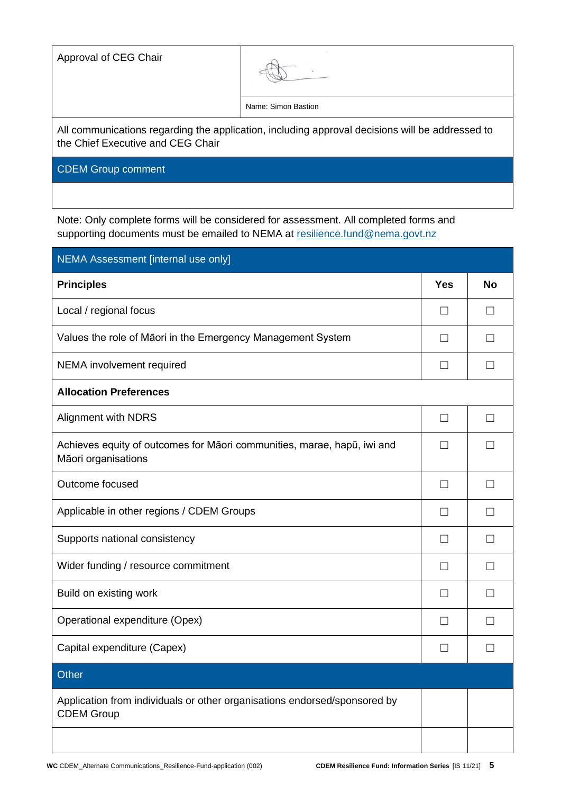Approval of CEG Chair

Name: Simon Bastion

All communications regarding the application, including approval decisions will be addressed to the Chief Executive and CEG Chair

CDEM Group comment

Note: Only complete forms will be considered for assessment. All completed forms and supporting documents must be emailed to NEMA at [resilience.fund@nema.govt.nz](mailto:resilience.fund@nema.govt.nz?subject=CDEM%20Resilience%20Fund:)

| NEMA Assessment [internal use only]                                                            |                          |                   |  |  |  |  |
|------------------------------------------------------------------------------------------------|--------------------------|-------------------|--|--|--|--|
| <b>Principles</b>                                                                              | <b>Yes</b>               | <b>No</b>         |  |  |  |  |
| Local / regional focus                                                                         | $\Box$                   | $\vert \ \ \vert$ |  |  |  |  |
| Values the role of Māori in the Emergency Management System                                    | $\Box$                   | $\mathsf{L}$      |  |  |  |  |
| NEMA involvement required                                                                      | $\vert \ \ \vert$        | $\mathsf{L}$      |  |  |  |  |
| <b>Allocation Preferences</b>                                                                  |                          |                   |  |  |  |  |
| <b>Alignment with NDRS</b>                                                                     | $\vert \ \ \vert$        | $\mathsf{L}$      |  |  |  |  |
| Achieves equity of outcomes for Māori communities, marae, hapū, iwi and<br>Māori organisations | П                        | $\mathsf{L}$      |  |  |  |  |
| Outcome focused                                                                                | П                        | $\mathsf{L}$      |  |  |  |  |
| Applicable in other regions / CDEM Groups                                                      | $\mathsf{L}$             |                   |  |  |  |  |
| Supports national consistency                                                                  | $\overline{\phantom{a}}$ |                   |  |  |  |  |
| Wider funding / resource commitment                                                            | $\Box$                   | $\mathsf{L}$      |  |  |  |  |
| Build on existing work                                                                         | $\vert \ \ \vert$        | $\mathsf{L}$      |  |  |  |  |
| Operational expenditure (Opex)                                                                 | $\Box$                   | $\mathsf{L}$      |  |  |  |  |
| Capital expenditure (Capex)                                                                    | $\vert \ \ \vert$        | $\mathbf{L}$      |  |  |  |  |
| Other                                                                                          |                          |                   |  |  |  |  |
| Application from individuals or other organisations endorsed/sponsored by<br><b>CDEM Group</b> |                          |                   |  |  |  |  |
|                                                                                                |                          |                   |  |  |  |  |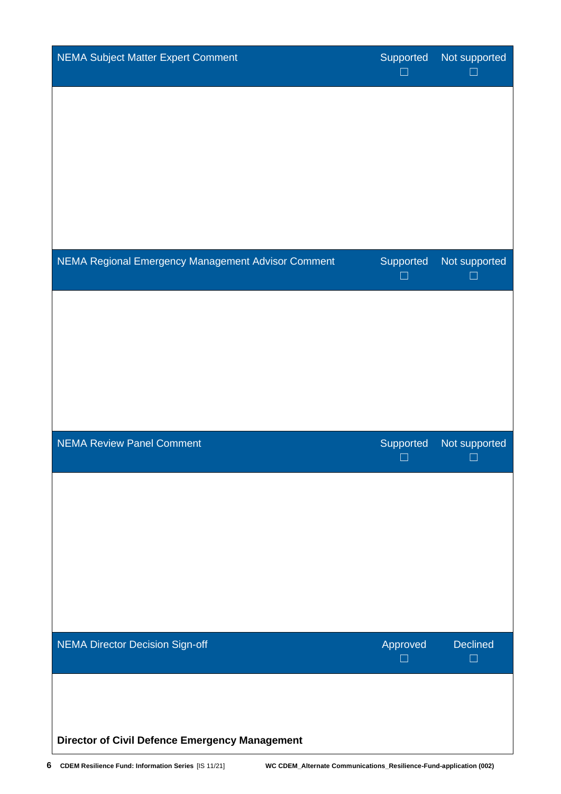| NEMA Subject Matter Expert Comment                    | Supported<br>H     | Not supported      |
|-------------------------------------------------------|--------------------|--------------------|
|                                                       |                    |                    |
|                                                       |                    |                    |
|                                                       |                    |                    |
|                                                       |                    |                    |
| NEMA Regional Emergency Management Advisor Comment    | Supported          | Not supported      |
|                                                       |                    |                    |
|                                                       |                    |                    |
|                                                       |                    |                    |
| NEMA Review Panel Comment                             | Supported          | Not supported      |
|                                                       |                    |                    |
|                                                       |                    |                    |
|                                                       |                    |                    |
|                                                       |                    |                    |
| NEMA Director Decision Sign-off                       | Approved<br>$\Box$ | Declined<br>$\Box$ |
|                                                       |                    |                    |
| <b>Director of Civil Defence Emergency Management</b> |                    |                    |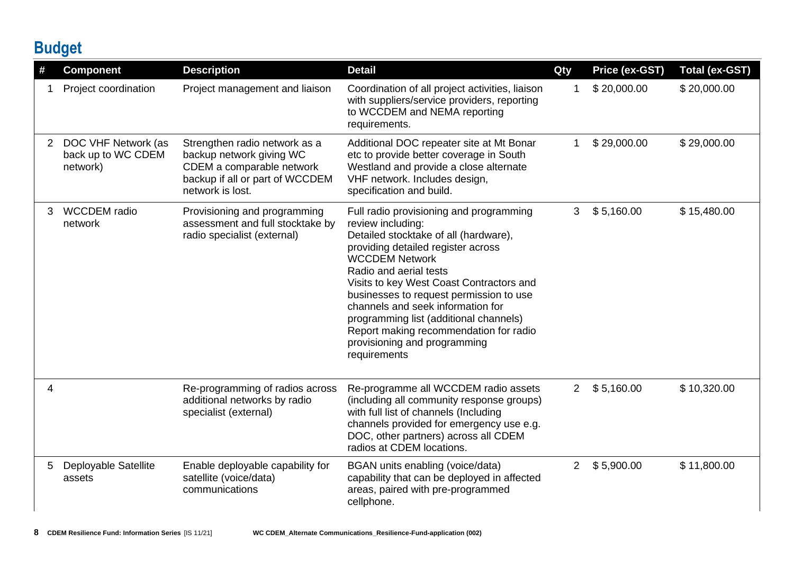## **Budget**

| #           | <b>Component</b>                                      | <b>Description</b>                                                                                                                            | <b>Detail</b>                                                                                                                                                                                                                                                                                                                                                                                                                                                  | Qty            | <b>Price (ex-GST)</b> | <b>Total (ex-GST)</b> |
|-------------|-------------------------------------------------------|-----------------------------------------------------------------------------------------------------------------------------------------------|----------------------------------------------------------------------------------------------------------------------------------------------------------------------------------------------------------------------------------------------------------------------------------------------------------------------------------------------------------------------------------------------------------------------------------------------------------------|----------------|-----------------------|-----------------------|
|             | Project coordination                                  | Project management and liaison                                                                                                                | Coordination of all project activities, liaison<br>with suppliers/service providers, reporting<br>to WCCDEM and NEMA reporting<br>requirements.                                                                                                                                                                                                                                                                                                                | 1              | \$20,000.00           | \$20,000.00           |
| $2^{\circ}$ | DOC VHF Network (as<br>back up to WC CDEM<br>network) | Strengthen radio network as a<br>backup network giving WC<br>CDEM a comparable network<br>backup if all or part of WCCDEM<br>network is lost. | Additional DOC repeater site at Mt Bonar<br>etc to provide better coverage in South<br>Westland and provide a close alternate<br>VHF network. Includes design,<br>specification and build.                                                                                                                                                                                                                                                                     |                | \$29,000.00           | \$29,000.00           |
| 3           | <b>WCCDEM</b> radio<br>network                        | Provisioning and programming<br>assessment and full stocktake by<br>radio specialist (external)                                               | Full radio provisioning and programming<br>review including:<br>Detailed stocktake of all (hardware),<br>providing detailed register across<br><b>WCCDEM Network</b><br>Radio and aerial tests<br>Visits to key West Coast Contractors and<br>businesses to request permission to use<br>channels and seek information for<br>programming list (additional channels)<br>Report making recommendation for radio<br>provisioning and programming<br>requirements | 3              | \$5,160.00            | \$15,480.00           |
| 4           |                                                       | Re-programming of radios across<br>additional networks by radio<br>specialist (external)                                                      | Re-programme all WCCDEM radio assets<br>(including all community response groups)<br>with full list of channels (Including<br>channels provided for emergency use e.g.<br>DOC, other partners) across all CDEM<br>radios at CDEM locations.                                                                                                                                                                                                                    | $2^{\circ}$    | \$5,160.00            | \$10,320.00           |
| 5           | Deployable Satellite<br>assets                        | Enable deployable capability for<br>satellite (voice/data)<br>communications                                                                  | BGAN units enabling (voice/data)<br>capability that can be deployed in affected<br>areas, paired with pre-programmed<br>cellphone.                                                                                                                                                                                                                                                                                                                             | 2 <sup>1</sup> | \$5,900.00            | \$11,800.00           |